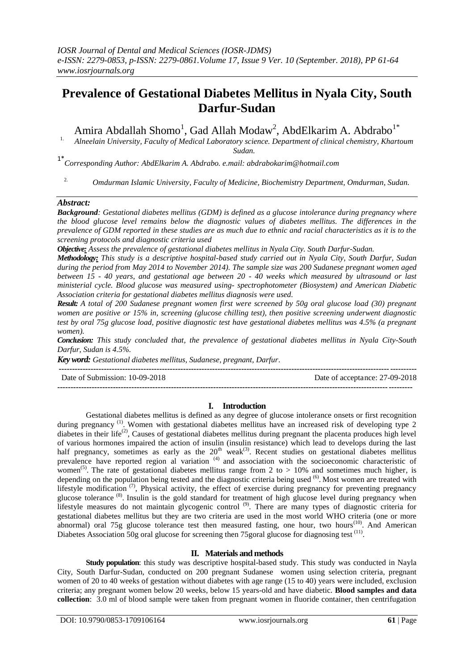# **Prevalence of Gestational Diabetes Mellitus in Nyala City, South Darfur-Sudan**

Amira Abdallah Shomo<sup>1</sup>, Gad Allah Modaw<sup>2</sup>, AbdElkarim A. Abdrabo<sup>1\*</sup>

<sup>1.</sup> Alneelain University, Faculty of Medical Laboratory science. Department of clinical chemistry, Khartoum *Sudan.*

1\**Corresponding Author: AbdElkarim A. Abdrabo. e.mail: abdrabokarim@hotmail.com*

2. *Omdurman Islamic University, Faculty of Medicine, Biochemistry Department, Omdurman, Sudan.*

#### *Abstract:*

*Background: Gestational diabetes mellitus (GDM) is defined as a glucose intolerance during pregnancy where the blood glucose level remains below the diagnostic values of diabetes mellitus. The differences in the prevalence of GDM reported in these studies are as much due to ethnic and racial characteristics as it is to the screening protocols and diagnostic criteria used*

*Objective: Assess the prevalence of gestational diabetes mellitus in Nyala City. South Darfur-Sudan.*

*Methodology: This study is a descriptive hospital-based study carried out in Nyala City, South Darfur, Sudan during the period from May 2014 to November 2014). The sample size was 200 Sudanese pregnant women aged between 15 - 40 years, and gestational age between 20 - 40 weeks which measured by ultrasound or last ministerial cycle. Blood glucose was measured using- spectrophotometer (Biosystem) and American Diabetic Association criteria for gestational diabetes mellitus diagnosis were used.*

*Result: A total of 200 Sudanese pregnant women first were screened by 50g oral glucose load (30) pregnant women are positive or 15% in, screening (glucose chilling test), then positive screening underwent diagnostic test by oral 75g glucose load, positive diagnostic test have gestational diabetes mellitus was 4.5% (a pregnant women).*

*Conclusion: This study concluded that, the prevalence of gestational diabetes mellitus in Nyala City-South Darfur, Sudan is 4.5%.*

*Key word: Gestational diabetes mellitus, Sudanese, pregnant, Darfur*.

| Date of Submission: 10-09-2018 | Date of acceptance: 27-09-2018 |
|--------------------------------|--------------------------------|
|                                |                                |

## **I. Introduction**

Gestational diabetes mellitus is defined as any degree of glucose intolerance onsets or first recognition during pregnancy<sup>(1)</sup>. Women with gestational diabetes mellitus have an increased risk of developing type 2 diabetes in their life<sup>(2)</sup>, Causes of gestational diabetes mellitus during pregnant the placenta produces high level of various hormones impaired the action of insulin (insulin resistance) which lead to develops during the last half pregnancy, sometimes as early as the  $20<sup>th</sup>$  weak<sup>(3)</sup>. Recent studies on gestational diabetes mellitus prevalence have reported region al variation<sup>(4)</sup> and association with the socioeconomic characteristic of women<sup>(5)</sup>. The rate of gestational diabetes mellitus range from 2 to  $> 10\%$  and sometimes much higher, is depending on the population being tested and the diagnostic criteria being used <sup>(6)</sup>. Most women are treated with lifestyle modification  $(7)$ , Physical activity, the effect of exercise during pregnancy for preventing pregnancy glucose tolerance<sup>(8)</sup>. Insulin is the gold standard for treatment of high glucose level during pregnancy when lifestyle measures do not maintain glycogenic control<sup>(9)</sup>. There are many types of diagnostic criteria for gestational diabetes mellitus but they are two criteria are used in the most world WHO criteria (one or more abnormal) oral 75g glucose tolerance test then measured fasting, one hour, two hours<sup>(10)</sup>. And American Diabetes Association 50g oral glucose for screening then 75 goral glucose for diagnosing test <sup>(11)</sup>.

## **II. Materials and methods**

**Study population**: this study was descriptive hospital-based study. This study was conducted in Nayla City, South Darfur-Sudan, conducted on 200 pregnant Sudanese women using selection criteria, pregnant women of 20 to 40 weeks of gestation without diabetes with age range (15 to 40) years were included, exclusion criteria; any pregnant women below 20 weeks, below 15 years-old and have diabetic. **Blood samples and data collection**: 3.0 ml of blood sample were taken from pregnant women in fluoride container, then centrifugation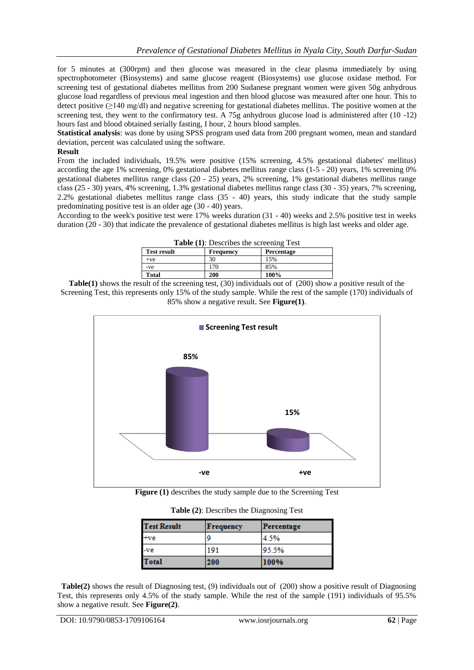for 5 minutes at (300rpm) and then glucose was measured in the clear plasma immediately by using spectrophotometer (Biosystems) and same glucose reagent (Biosystems) use glucose oxidase method. For screening test of gestational diabetes mellitus from 200 Sudanese pregnant women were given 50g anhydrous glucose load regardless of previous meal ingestion and then blood glucose was measured after one hour. This to detect positive (≥140 mg/dl) and negative screening for gestational diabetes mellitus. The positive women at the screening test, they went to the confirmatory test. A 75g anhydrous glucose load is administered after (10 -12) hours fast and blood obtained serially fasting, I hour, 2 hours blood samples.

**Statistical analysis**: was done by using SPSS program used data from 200 pregnant women, mean and standard deviation, percent was calculated using the software.

#### **Result**

From the included individuals, 19.5% were positive (15% screening, 4.5% gestational diabetes' mellitus) according the age 1% screening, 0% gestational diabetes mellitus range class (1-5 - 20) years, 1% screening 0% gestational diabetes mellitus range class (20 - 25) years, 2% screening, 1% gestational diabetes mellitus range class (25 - 30) years, 4% screening, 1.3% gestational diabetes mellitus range class (30 - 35) years, 7% screening, 2.2% gestational diabetes mellitus range class (35 - 40) years, this study indicate that the study sample predominating positive test is an older age (30 - 40) years.

According to the week's positive test were 17% weeks duration (31 - 40) weeks and 2.5% positive test in weeks duration (20 - 30) that indicate the prevalence of gestational diabetes mellitus is high last weeks and older age.

| <b>Table (1):</b> Describes the screening Test |                  |            |  |
|------------------------------------------------|------------------|------------|--|
| <b>Test result</b>                             | <b>Frequency</b> | Percentage |  |
| $+ve$                                          | 30               | 15%        |  |
| -ve                                            | 170              | 85%        |  |
| <b>Total</b>                                   | 200              | 100%       |  |
|                                                |                  |            |  |

**Table(1)** shows the result of the screening test, (30) individuals out of (200) show a positive result of the Screening Test, this represents only 15% of the study sample. While the rest of the sample (170) individuals of 85% show a negative result. See **Figure(1)**.



**Figure (1)** describes the study sample due to the Screening Test

| <b>Test Result</b> | Frequency | Percentage |
|--------------------|-----------|------------|
| $+ve$              | ٥         | 4.5%       |
| $-ve$              | 191       | 95.5%      |
| <b>Total</b>       | 200       | 100%       |

 **Table(2)** shows the result of Diagnosing test, (9) individuals out of (200) show a positive result of Diagnosing Test, this represents only 4.5% of the study sample. While the rest of the sample (191) individuals of 95.5% show a negative result. See **Figure(2)**.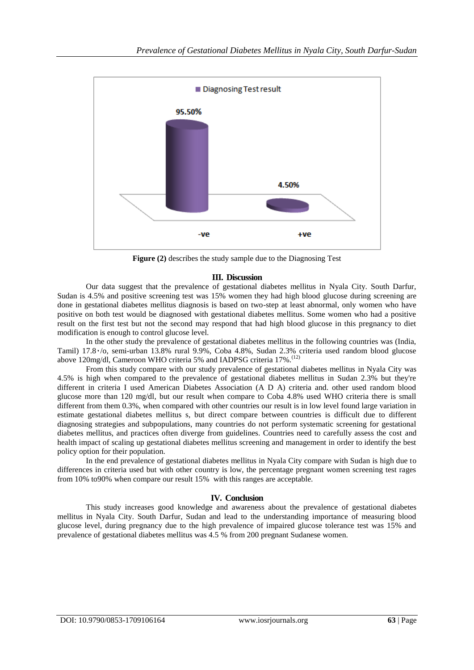

**Figure (2)** describes the study sample due to the Diagnosing Test

#### **III. Discussion**

Our data suggest that the prevalence of gestational diabetes mellitus in Nyala City. South Darfur, Sudan is 4.5% and positive screening test was 15% women they had high blood glucose during screening are done in gestational diabetes mellitus diagnosis is based on two-step at least abnormal, only women who have positive on both test would be diagnosed with gestational diabetes mellitus. Some women who had a positive result on the first test but not the second may respond that had high blood glucose in this pregnancy to diet modification is enough to control glucose level.

In the other study the prevalence of gestational diabetes mellitus in the following countries was (India, Tamil) 17.8٠/o, semi-urban 13.8% rural 9.9%, Coba 4.8%, Sudan 2.3% criteria used random blood glucose above 120mg/dl, Cameroon WHO criteria 5% and IADPSG criteria 17%.<sup>(12)</sup>

From this study compare with our study prevalence of gestational diabetes mellitus in Nyala City was 4.5% is high when compared to the prevalence of gestational diabetes mellitus in Sudan 2.3% but they're different in criteria I used American Diabetes Association (A D A) criteria and. other used random blood glucose more than 120 mg/dl, but our result when compare to Coba 4.8% used WHO criteria there is small different from them 0.3%, when compared with other countries our result is in low level found large variation in estimate gestational diabetes mellitus s, but direct compare between countries is difficult due to different diagnosing strategies and subpopulations, many countries do not perform systematic screening for gestational diabetes mellitus, and practices often diverge from guidelines. Countries need to carefully assess the cost and health impact of scaling up gestational diabetes mellitus screening and management in order to identify the best policy option for their population.

In the end prevalence of gestational diabetes mellitus in Nyala City compare with Sudan is high due to differences in criteria used but with other country is low, the percentage pregnant women screening test rages from 10% to90% when compare our result 15% with this ranges are acceptable.

#### **IV. Conclusion**

This study increases good knowledge and awareness about the prevalence of gestational diabetes mellitus in Nyala City. South Darfur, Sudan and lead to the understanding importance of measuring blood glucose level, during pregnancy due to the high prevalence of impaired glucose tolerance test was 15% and prevalence of gestational diabetes mellitus was 4.5 % from 200 pregnant Sudanese women.